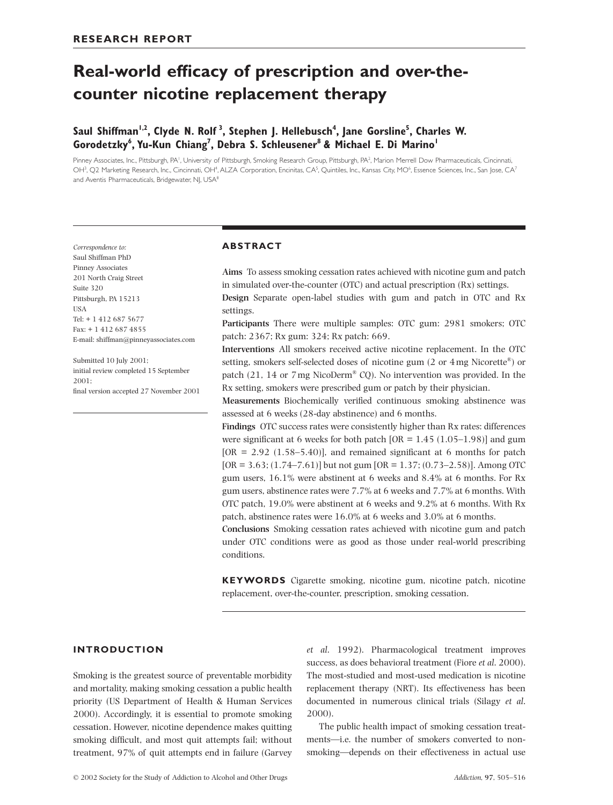# **Real-world efficacy of prescription and over-thecounter nicotine replacement therapy**

## **Saul Shiffman1,2, Clyde N. Rolf <sup>3</sup> , Stephen J. Hellebusch4 , Jane Gorsline5 , Charles W.** Gorodetzky<sup>6</sup>, Yu-Kun Chiang<sup>7</sup>, Debra S. Schleusener<sup>8</sup> & Michael E. Di Marino<sup>1</sup>

Pinney Associates, Inc., Pittsburgh, PA<sup>I</sup>, University of Pittsburgh, Smoking Research Group, Pittsburgh, PA<sup>2</sup>, Marion Merrell Dow Pharmaceuticals, Cincinnati, OH<sup>3</sup>, Q2 Marketing Research, Inc., Cincinnati, OH<sup>4</sup>, ALZA Corporation, Encinitas, CA<sup>5</sup>, Quintiles, Inc., Kansas City, MO<sup>6</sup>, Essence Sciences, Inc., San Jose, CA<sup>7</sup> and Aventis Pharmaceuticals, Bridgewater, NJ, USA<sup>8</sup>

*Correspondence to:*  Saul Shiffman PhD Pinney Associates 201 North Craig Street Suite 320 Pittsburgh, PA 15213 **IISA** Tel: + 1 412 687 5677 Fax: + 1 412 687 4855 E-mail: shiffman@pinneyassociates.com

Submitted 10 July 2001: initial review completed 15 September 2001; final version accepted 27 November 2001

## **ABSTRACT**

**Aims** To assess smoking cessation rates achieved with nicotine gum and patch in simulated over-the-counter (OTC) and actual prescription (Rx) settings.

**Design** Separate open-label studies with gum and patch in OTC and Rx settings.

**Participants** There were multiple samples: OTC gum: 2981 smokers; OTC patch: 2367; Rx gum: 324; Rx patch: 669.

**Interventions** All smokers received active nicotine replacement. In the OTC setting, smokers self-selected doses of nicotine gum (2 or  $4 \text{ mg Nicoretite}^*$ ) or patch (21, 14 or 7 mg NicoDerm® CQ). No intervention was provided. In the Rx setting, smokers were prescribed gum or patch by their physician.

**Measurements** Biochemically verified continuous smoking abstinence was assessed at 6 weeks (28-day abstinence) and 6 months.

**Findings** OTC success rates were consistently higher than Rx rates: differences were significant at 6 weeks for both patch  $[OR = 1.45 (1.05-1.98)]$  and gum  $[OR = 2.92 (1.58-5.40)]$ , and remained significant at 6 months for patch  $[OR = 3.63; (1.74–7.61)]$  but not gum  $[OR = 1.37; (0.73–2.58)]$ . Among OTC gum users, 16.1% were abstinent at 6 weeks and 8.4% at 6 months. For Rx gum users, abstinence rates were 7.7% at 6 weeks and 7.7% at 6 months. With OTC patch, 19.0% were abstinent at 6 weeks and 9.2% at 6 months. With Rx patch, abstinence rates were 16.0% at 6 weeks and 3.0% at 6 months.

**Conclusions** Smoking cessation rates achieved with nicotine gum and patch under OTC conditions were as good as those under real-world prescribing conditions.

**KEYWORDS** Cigarette smoking, nicotine gum, nicotine patch, nicotine replacement, over-the-counter, prescription, smoking cessation.

#### **INTRODUCTION**

Smoking is the greatest source of preventable morbidity and mortality, making smoking cessation a public health priority (US Department of Health & Human Services 2000). Accordingly, it is essential to promote smoking cessation. However, nicotine dependence makes quitting smoking difficult, and most quit attempts fail; without treatment, 97% of quit attempts end in failure (Garvey

*et al*. 1992). Pharmacological treatment improves success, as does behavioral treatment (Fiore *et al*. 2000). The most-studied and most-used medication is nicotine replacement therapy (NRT). Its effectiveness has been documented in numerous clinical trials (Silagy *et al*. 2000).

The public health impact of smoking cessation treatments—i.e. the number of smokers converted to nonsmoking—depends on their effectiveness in actual use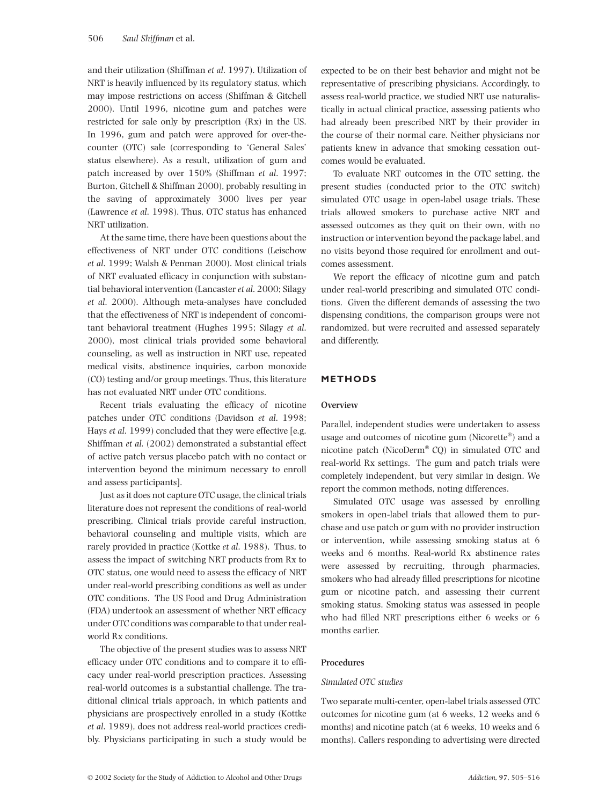and their utilization (Shiffman *et al*. 1997). Utilization of NRT is heavily influenced by its regulatory status, which may impose restrictions on access (Shiffman & Gitchell 2000). Until 1996, nicotine gum and patches were restricted for sale only by prescription (Rx) in the US. In 1996, gum and patch were approved for over-thecounter (OTC) sale (corresponding to 'General Sales' status elsewhere). As a result, utilization of gum and patch increased by over 150% (Shiffman *et al*. 1997; Burton, Gitchell & Shiffman 2000), probably resulting in the saving of approximately 3000 lives per year (Lawrence *et al*. 1998). Thus, OTC status has enhanced NRT utilization.

At the same time, there have been questions about the effectiveness of NRT under OTC conditions (Leischow *et al*. 1999; Walsh & Penman 2000). Most clinical trials of NRT evaluated efficacy in conjunction with substantial behavioral intervention (Lancaster *et al*. 2000; Silagy *et al*. 2000). Although meta-analyses have concluded that the effectiveness of NRT is independent of concomitant behavioral treatment (Hughes 1995; Silagy *et al*. 2000), most clinical trials provided some behavioral counseling, as well as instruction in NRT use, repeated medical visits, abstinence inquiries, carbon monoxide (CO) testing and/or group meetings. Thus, this literature has not evaluated NRT under OTC conditions.

Recent trials evaluating the efficacy of nicotine patches under OTC conditions (Davidson *et al*. 1998; Hays *et al*. 1999) concluded that they were effective [e.g. Shiffman *et al.* (2002) demonstrated a substantial effect of active patch versus placebo patch with no contact or intervention beyond the minimum necessary to enroll and assess participants].

Just as it does not capture OTC usage, the clinical trials literature does not represent the conditions of real-world prescribing. Clinical trials provide careful instruction, behavioral counseling and multiple visits, which are rarely provided in practice (Kottke *et al*. 1988). Thus, to assess the impact of switching NRT products from Rx to OTC status, one would need to assess the efficacy of NRT under real-world prescribing conditions as well as under OTC conditions. The US Food and Drug Administration (FDA) undertook an assessment of whether NRT efficacy under OTC conditions was comparable to that under realworld Rx conditions.

The objective of the present studies was to assess NRT efficacy under OTC conditions and to compare it to efficacy under real-world prescription practices. Assessing real-world outcomes is a substantial challenge. The traditional clinical trials approach, in which patients and physicians are prospectively enrolled in a study (Kottke *et al*. 1989), does not address real-world practices credibly. Physicians participating in such a study would be

expected to be on their best behavior and might not be representative of prescribing physicians. Accordingly, to assess real-world practice, we studied NRT use naturalistically in actual clinical practice, assessing patients who had already been prescribed NRT by their provider in the course of their normal care. Neither physicians nor patients knew in advance that smoking cessation outcomes would be evaluated.

To evaluate NRT outcomes in the OTC setting, the present studies (conducted prior to the OTC switch) simulated OTC usage in open-label usage trials. These trials allowed smokers to purchase active NRT and assessed outcomes as they quit on their own, with no instruction or intervention beyond the package label, and no visits beyond those required for enrollment and outcomes assessment.

We report the efficacy of nicotine gum and patch under real-world prescribing and simulated OTC conditions. Given the different demands of assessing the two dispensing conditions, the comparison groups were not randomized, but were recruited and assessed separately and differently.

## **METHODS**

## **Overview**

Parallel, independent studies were undertaken to assess usage and outcomes of nicotine gum (Nicorette<sup>®</sup>) and a nicotine patch (NicoDerm" CQ) in simulated OTC and real-world Rx settings. The gum and patch trials were completely independent, but very similar in design. We report the common methods, noting differences.

Simulated OTC usage was assessed by enrolling smokers in open-label trials that allowed them to purchase and use patch or gum with no provider instruction or intervention, while assessing smoking status at 6 weeks and 6 months. Real-world Rx abstinence rates were assessed by recruiting, through pharmacies, smokers who had already filled prescriptions for nicotine gum or nicotine patch, and assessing their current smoking status. Smoking status was assessed in people who had filled NRT prescriptions either 6 weeks or 6 months earlier.

## **Procedures**

#### *Simulated OTC studies*

Two separate multi-center, open-label trials assessed OTC outcomes for nicotine gum (at 6 weeks, 12 weeks and 6 months) and nicotine patch (at 6 weeks, 10 weeks and 6 months). Callers responding to advertising were directed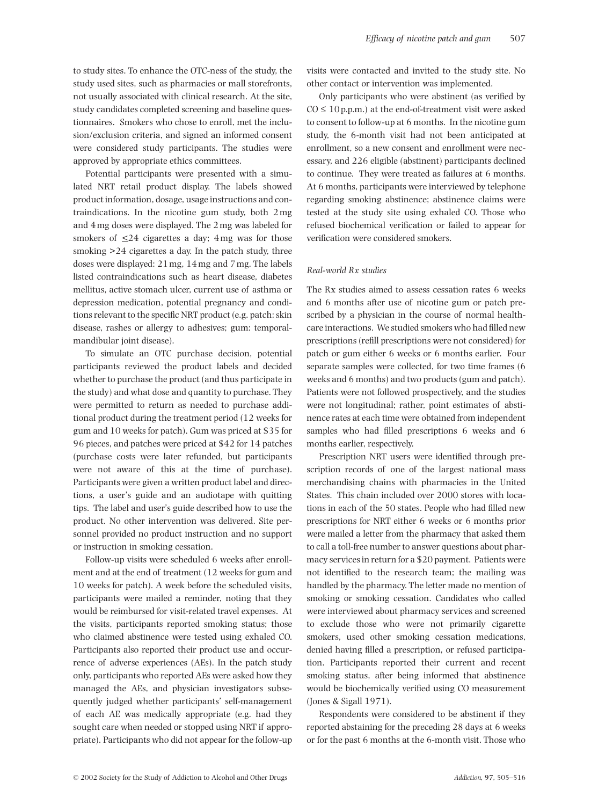to study sites. To enhance the OTC-ness of the study, the study used sites, such as pharmacies or mall storefronts, not usually associated with clinical research. At the site, study candidates completed screening and baseline questionnaires. Smokers who chose to enroll, met the inclusion/exclusion criteria, and signed an informed consent were considered study participants. The studies were approved by appropriate ethics committees.

Potential participants were presented with a simulated NRT retail product display. The labels showed product information, dosage, usage instructions and contraindications. In the nicotine gum study, both 2 mg and 4 mg doses were displayed. The 2 mg was labeled for smokers of  $\leq$ 24 cigarettes a day; 4 mg was for those smoking >24 cigarettes a day. In the patch study, three doses were displayed: 21 mg, 14 mg and 7 mg. The labels listed contraindications such as heart disease, diabetes mellitus, active stomach ulcer, current use of asthma or depression medication, potential pregnancy and conditions relevant to the specific NRT product (e.g. patch: skin disease, rashes or allergy to adhesives; gum: temporalmandibular joint disease).

To simulate an OTC purchase decision, potential participants reviewed the product labels and decided whether to purchase the product (and thus participate in the study) and what dose and quantity to purchase. They were permitted to return as needed to purchase additional product during the treatment period (12 weeks for gum and 10 weeks for patch). Gum was priced at \$35 for 96 pieces, and patches were priced at \$42 for 14 patches (purchase costs were later refunded, but participants were not aware of this at the time of purchase). Participants were given a written product label and directions, a user's guide and an audiotape with quitting tips. The label and user's guide described how to use the product. No other intervention was delivered. Site personnel provided no product instruction and no support or instruction in smoking cessation.

Follow-up visits were scheduled 6 weeks after enrollment and at the end of treatment (12 weeks for gum and 10 weeks for patch). A week before the scheduled visits, participants were mailed a reminder, noting that they would be reimbursed for visit-related travel expenses. At the visits, participants reported smoking status; those who claimed abstinence were tested using exhaled CO. Participants also reported their product use and occurrence of adverse experiences (AEs). In the patch study only, participants who reported AEs were asked how they managed the AEs, and physician investigators subsequently judged whether participants' self-management of each AE was medically appropriate (e.g. had they sought care when needed or stopped using NRT if appropriate). Participants who did not appear for the follow-up visits were contacted and invited to the study site. No other contact or intervention was implemented.

Only participants who were abstinent (as verified by  $CO \leq 10$  p.p.m.) at the end-of-treatment visit were asked to consent to follow-up at 6 months. In the nicotine gum study, the 6-month visit had not been anticipated at enrollment, so a new consent and enrollment were necessary, and 226 eligible (abstinent) participants declined to continue. They were treated as failures at 6 months. At 6 months, participants were interviewed by telephone regarding smoking abstinence; abstinence claims were tested at the study site using exhaled CO. Those who refused biochemical verification or failed to appear for verification were considered smokers.

#### *Real-world Rx studies*

The Rx studies aimed to assess cessation rates 6 weeks and 6 months after use of nicotine gum or patch prescribed by a physician in the course of normal healthcare interactions. We studied smokers who had filled new prescriptions (refill prescriptions were not considered) for patch or gum either 6 weeks or 6 months earlier. Four separate samples were collected, for two time frames (6 weeks and 6 months) and two products (gum and patch). Patients were not followed prospectively, and the studies were not longitudinal; rather, point estimates of abstinence rates at each time were obtained from independent samples who had filled prescriptions 6 weeks and 6 months earlier, respectively.

Prescription NRT users were identified through prescription records of one of the largest national mass merchandising chains with pharmacies in the United States. This chain included over 2000 stores with locations in each of the 50 states. People who had filled new prescriptions for NRT either 6 weeks or 6 months prior were mailed a letter from the pharmacy that asked them to call a toll-free number to answer questions about pharmacy services in return for a \$20 payment. Patients were not identified to the research team; the mailing was handled by the pharmacy. The letter made no mention of smoking or smoking cessation. Candidates who called were interviewed about pharmacy services and screened to exclude those who were not primarily cigarette smokers, used other smoking cessation medications, denied having filled a prescription, or refused participation. Participants reported their current and recent smoking status, after being informed that abstinence would be biochemically verified using CO measurement (Jones & Sigall 1971).

Respondents were considered to be abstinent if they reported abstaining for the preceding 28 days at 6 weeks or for the past 6 months at the 6-month visit. Those who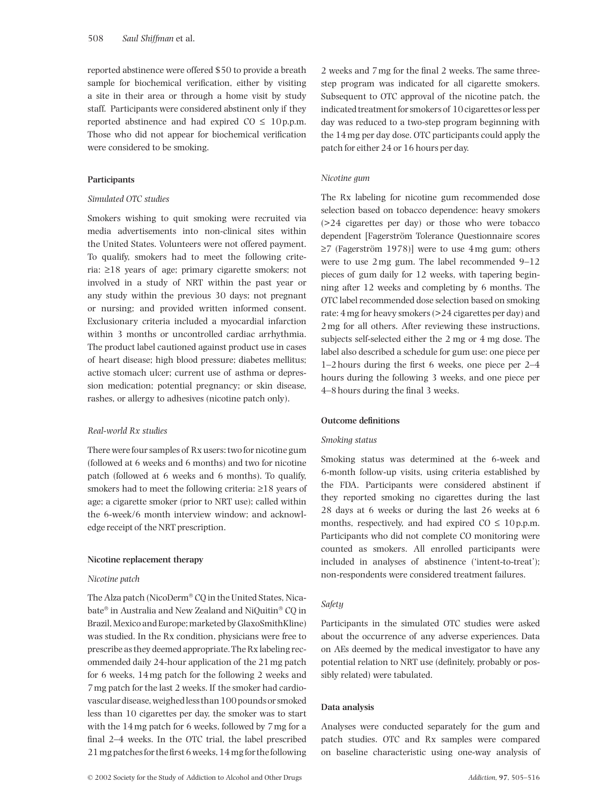reported abstinence were offered \$50 to provide a breath sample for biochemical verification, either by visiting a site in their area or through a home visit by study staff. Participants were considered abstinent only if they reported abstinence and had expired  $CO \leq 10$  p.p.m. Those who did not appear for biochemical verification were considered to be smoking.

## **Participants**

## *Simulated OTC studies*

Smokers wishing to quit smoking were recruited via media advertisements into non-clinical sites within the United States. Volunteers were not offered payment. To qualify, smokers had to meet the following criteria: ≥18 years of age; primary cigarette smokers; not involved in a study of NRT within the past year or any study within the previous 30 days; not pregnant or nursing; and provided written informed consent. Exclusionary criteria included a myocardial infarction within 3 months or uncontrolled cardiac arrhythmia. The product label cautioned against product use in cases of heart disease; high blood pressure; diabetes mellitus; active stomach ulcer; current use of asthma or depression medication; potential pregnancy; or skin disease, rashes, or allergy to adhesives (nicotine patch only).

## *Real-world Rx studies*

There were four samples of Rx users: two for nicotine gum (followed at 6 weeks and 6 months) and two for nicotine patch (followed at 6 weeks and 6 months). To qualify, smokers had to meet the following criteria: ≥18 years of age; a cigarette smoker (prior to NRT use); called within the 6-week/6 month interview window; and acknowledge receipt of the NRT prescription.

## **Nicotine replacement therapy**

## *Nicotine patch*

The Alza patch (NicoDerm<sup>®</sup> CQ in the United States, Nicabate® in Australia and New Zealand and NiQuitin® CQ in Brazil, Mexico and Europe; marketed by GlaxoSmithKline) was studied. In the Rx condition, physicians were free to prescribe as they deemed appropriate. The Rx labeling recommended daily 24-hour application of the 21 mg patch for 6 weeks, 14 mg patch for the following 2 weeks and 7 mg patch for the last 2 weeks. If the smoker had cardiovascular disease, weighed less than 100 pounds or smoked less than 10 cigarettes per day, the smoker was to start with the 14 mg patch for 6 weeks, followed by 7 mg for a final 2–4 weeks. In the OTC trial, the label prescribed 21 mg patches for the first 6 weeks, 14 mg for the following

2 weeks and 7 mg for the final 2 weeks. The same threestep program was indicated for all cigarette smokers. Subsequent to OTC approval of the nicotine patch, the indicated treatment for smokers of 10 cigarettes or less per day was reduced to a two-step program beginning with the 14 mg per day dose. OTC participants could apply the patch for either 24 or 16 hours per day.

## *Nicotine gum*

The Rx labeling for nicotine gum recommended dose selection based on tobacco dependence: heavy smokers (>24 cigarettes per day) or those who were tobacco dependent [Fagerström Tolerance Questionnaire scores ≥7 (Fagerström 1978)] were to use 4 mg gum; others were to use 2 mg gum. The label recommended 9–12 pieces of gum daily for 12 weeks, with tapering beginning after 12 weeks and completing by 6 months. The OTC label recommended dose selection based on smoking rate: 4 mg for heavy smokers (>24 cigarettes per day) and 2 mg for all others. After reviewing these instructions, subjects self-selected either the 2 mg or 4 mg dose. The label also described a schedule for gum use: one piece per 1–2 hours during the first 6 weeks, one piece per 2–4 hours during the following 3 weeks, and one piece per 4–8 hours during the final 3 weeks.

## **Outcome definitions**

#### *Smoking status*

Smoking status was determined at the 6-week and 6-month follow-up visits, using criteria established by the FDA. Participants were considered abstinent if they reported smoking no cigarettes during the last 28 days at 6 weeks or during the last 26 weeks at 6 months, respectively, and had expired  $CO \leq 10$  p.p.m. Participants who did not complete CO monitoring were counted as smokers. All enrolled participants were included in analyses of abstinence ('intent-to-treat'); non-respondents were considered treatment failures.

#### *Safety*

Participants in the simulated OTC studies were asked about the occurrence of any adverse experiences. Data on AEs deemed by the medical investigator to have any potential relation to NRT use (definitely, probably or possibly related) were tabulated.

#### **Data analysis**

Analyses were conducted separately for the gum and patch studies. OTC and Rx samples were compared on baseline characteristic using one-way analysis of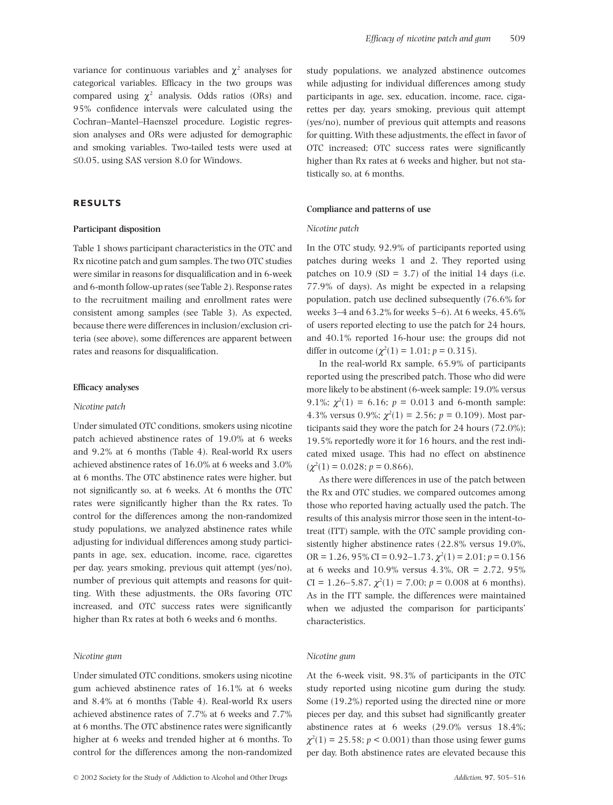variance for continuous variables and  $\chi^2$  analyses for categorical variables. Efficacy in the two groups was compared using  $\chi^2$  analysis. Odds ratios (ORs) and 95% confidence intervals were calculated using the Cochran–Mantel–Haenszel procedure. Logistic regression analyses and ORs were adjusted for demographic and smoking variables. Two-tailed tests were used at  $\leq$ 0.05, using SAS version 8.0 for Windows.

### **RESULTS**

#### **Participant disposition**

Table 1 shows participant characteristics in the OTC and Rx nicotine patch and gum samples. The two OTC studies were similar in reasons for disqualification and in 6-week and 6-month follow-up rates (see Table 2). Response rates to the recruitment mailing and enrollment rates were consistent among samples (see Table 3). As expected, because there were differences in inclusion/exclusion criteria (see above), some differences are apparent between rates and reasons for disqualification.

#### **Efficacy analyses**

#### *Nicotine patch*

Under simulated OTC conditions, smokers using nicotine patch achieved abstinence rates of 19.0% at 6 weeks and 9.2% at 6 months (Table 4). Real-world Rx users achieved abstinence rates of 16.0% at 6 weeks and 3.0% at 6 months. The OTC abstinence rates were higher, but not significantly so, at 6 weeks. At 6 months the OTC rates were significantly higher than the Rx rates. To control for the differences among the non-randomized study populations, we analyzed abstinence rates while adjusting for individual differences among study participants in age, sex, education, income, race, cigarettes per day, years smoking, previous quit attempt (yes/no), number of previous quit attempts and reasons for quitting. With these adjustments, the ORs favoring OTC increased, and OTC success rates were significantly higher than Rx rates at both 6 weeks and 6 months.

#### *Nicotine gum*

Under simulated OTC conditions, smokers using nicotine gum achieved abstinence rates of 16.1% at 6 weeks and 8.4% at 6 months (Table 4). Real-world Rx users achieved abstinence rates of 7.7% at 6 weeks and 7.7% at 6 months. The OTC abstinence rates were significantly higher at 6 weeks and trended higher at 6 months. To control for the differences among the non-randomized study populations, we analyzed abstinence outcomes while adjusting for individual differences among study participants in age, sex, education, income, race, cigarettes per day, years smoking, previous quit attempt (yes/no), number of previous quit attempts and reasons for quitting. With these adjustments, the effect in favor of OTC increased; OTC success rates were significantly higher than Rx rates at 6 weeks and higher, but not statistically so, at 6 months.

## **Compliance and patterns of use**

#### *Nicotine patch*

In the OTC study, 92.9% of participants reported using patches during weeks 1 and 2. They reported using patches on  $10.9$  (SD = 3.7) of the initial 14 days (i.e. 77.9% of days). As might be expected in a relapsing population, patch use declined subsequently (76.6% for weeks 3–4 and 63.2% for weeks 5–6). At 6 weeks, 45.6% of users reported electing to use the patch for 24 hours, and 40.1% reported 16-hour use; the groups did not differ in outcome  $(\chi^2(1) = 1.01; p = 0.315)$ .

In the real-world Rx sample, 65.9% of participants reported using the prescribed patch. Those who did were more likely to be abstinent (6-week sample: 19.0% versus 9.1%;  $\chi^2(1) = 6.16$ ;  $p = 0.013$  and 6-month sample: 4.3% versus 0.9%;  $\chi^2(1) = 2.56$ ;  $p = 0.109$ ). Most participants said they wore the patch for 24 hours (72.0%); 19.5% reportedly wore it for 16 hours, and the rest indicated mixed usage. This had no effect on abstinence  $(\chi^2(1) = 0.028; p = 0.866).$ 

As there were differences in use of the patch between the Rx and OTC studies, we compared outcomes among those who reported having actually used the patch. The results of this analysis mirror those seen in the intent-totreat (ITT) sample, with the OTC sample providing consistently higher abstinence rates (22.8% versus 19.0%, OR = 1.26, 95% CI = 0.92–1.73,  $\chi^2(1) = 2.01$ ;  $p = 0.156$ at 6 weeks and 10.9% versus 4.3%, OR = 2.72, 95%  $CI = 1.26 - 5.87$ ,  $\chi^2(1) = 7.00$ ;  $p = 0.008$  at 6 months). As in the ITT sample, the differences were maintained when we adjusted the comparison for participants' characteristics.

#### *Nicotine gum*

At the 6-week visit, 98.3% of participants in the OTC study reported using nicotine gum during the study. Some (19.2%) reported using the directed nine or more pieces per day, and this subset had significantly greater abstinence rates at 6 weeks (29.0% versus 18.4%;  $\chi^2(1) = 25.58$ ;  $p < 0.001$ ) than those using fewer gums per day. Both abstinence rates are elevated because this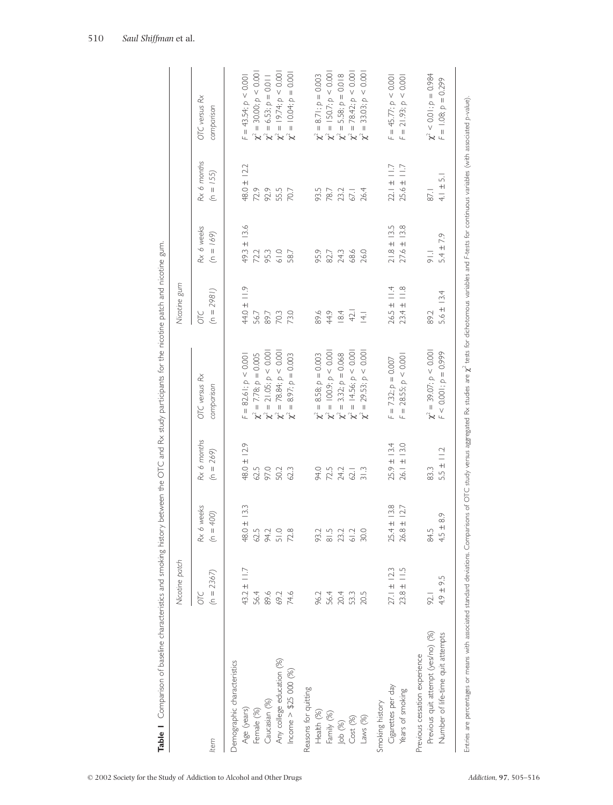|                                                                     | Nicotine patch                     |                                                        |                                                                  |                                                                                                                                                       | Nicotine gum                          |                                                   |                                    |                                                                                                                                                                      |
|---------------------------------------------------------------------|------------------------------------|--------------------------------------------------------|------------------------------------------------------------------|-------------------------------------------------------------------------------------------------------------------------------------------------------|---------------------------------------|---------------------------------------------------|------------------------------------|----------------------------------------------------------------------------------------------------------------------------------------------------------------------|
| ltem                                                                | $(n = 2367)$<br>OTC                | 6 weeks<br>$(n = 400)$<br>$\stackrel{\times}{\propto}$ | Rx 6 months<br>269)<br>$\ensuremath{\mathsf{II}}$<br>$\subseteq$ | OTC versus Rx<br>comparison                                                                                                                           | $(n = 2981)$<br>OTC                   | Rx 6 weeks<br>$(0 - 169)$                         | $Rx \t{6 months}$<br>(n = 155)     | OTC versus Rx<br>comparison                                                                                                                                          |
| Demographic characteristics                                         |                                    |                                                        |                                                                  |                                                                                                                                                       |                                       |                                                   |                                    |                                                                                                                                                                      |
| Age (years)<br>Female (%)                                           | $43.2 \pm 11.7$<br>56.4            | 48.0 ± 13.3<br>62.5                                    | 48.0 ± 12.9<br>62.5                                              | $F = 82.61; p < 0.001$                                                                                                                                | 44.0 ± 11.9<br>56.7                   | 49.3 ± 13.6<br>72.2                               | 48.0 ± 12.2<br>72.9                | $F = 43.54; p < 0.001$                                                                                                                                               |
| Caucasian (%)                                                       | 89.6                               |                                                        | 97.0                                                             | $\chi^2 = 7.78; p = 0.005$<br>$\chi^2 = 21.05; p < 0.001$<br>$\chi^2 = 78.84; p < 0.001$<br>$\chi^2 = 8.97; p = 0.003$                                | 89.7                                  | 95.3                                              | 92.9                               | $\chi^2$ = 30.00; $p$ < 0.001<br>$\chi^2$ = 6.53; $p$ = 0.011                                                                                                        |
| Any college education (%)                                           | 69.2                               | 94.2<br>51.0                                           | 50.2                                                             |                                                                                                                                                       | 70.3                                  | 61.0                                              | 55.5                               |                                                                                                                                                                      |
| Income $>$ \$25 000 (%)                                             | 74.6                               | 72.8                                                   | 62.3                                                             |                                                                                                                                                       | 73.0                                  | 58.7                                              | 70.7                               | $\chi^2 = 19.74; p < 0.001$<br>$\chi^2 = 10.04; p = 0.001$                                                                                                           |
| Reasons for quitting                                                |                                    |                                                        |                                                                  |                                                                                                                                                       |                                       |                                                   |                                    |                                                                                                                                                                      |
| Health (%)                                                          | 96.2                               |                                                        | 94.0                                                             |                                                                                                                                                       | 89.6                                  | 95.9                                              | 93.5                               |                                                                                                                                                                      |
| Family (%)                                                          | 56.4                               | $93.2$<br>$81.5$<br>$23.2$<br>$61.2$                   | 72.5                                                             |                                                                                                                                                       | 44.9                                  | 82.7                                              | 78.7                               |                                                                                                                                                                      |
| $job$ $(%)$                                                         | 20.4                               |                                                        | 24.2                                                             |                                                                                                                                                       | 18.4                                  | 24.3                                              | 23.2                               |                                                                                                                                                                      |
| Cost (%)                                                            | 53.3                               |                                                        | 62.1                                                             |                                                                                                                                                       | 42.                                   | 68.6                                              | 67.1                               |                                                                                                                                                                      |
| Laws (%)                                                            | 20.5                               | 30.0                                                   | 31.3                                                             | $\chi^2 = 8.58; p = 0.003$<br>$\chi^2 = 100.9; p < 0.001$<br>$\chi^2 = 3.32; p = 0.068$<br>$\chi^2 = 14.56; p < 0.001$<br>$\chi^2 = 29.53; p < 0.001$ | $\frac{4}{4}$                         | 26.0                                              | 26.4                               | $\chi^2 = 8.7$  ; $p = 0.003$<br>$\chi^2 = 150.7$ ; $p < 0.001$<br>$\chi^2 = 5.58$ ; $p = 0.018$<br>$\chi^2 = 78.42$ ; $p < 0.001$<br>$\chi^2 = 33.03$ ; $p < 0.001$ |
| Smoking history                                                     |                                    |                                                        |                                                                  |                                                                                                                                                       |                                       |                                                   |                                    |                                                                                                                                                                      |
| Cigarettes per day<br>Years of smoking                              | $27.1 \pm 12.3$<br>$23.8 \pm 11.5$ | $25.4 \pm 13.8$<br>$26.8 \pm 12.7$                     | ±13.0<br>± 13.4<br>25.9<br>261                                   | $F = 7.32$ ; $p = 0.007$<br>$F = 28.55$ ; $p < 0.001$                                                                                                 | $\pm 11.8$<br>$26.5 \pm 11.4$<br>23.4 | 13.8<br>$21.8 \pm 13.5$<br>$\overline{+}$<br>27.6 | $22.1 \pm 11.7$<br>$25.6 \pm 11.7$ | $F = 45.77; p < 0.001$<br>$F = 21.93; p < 0.001$                                                                                                                     |
|                                                                     |                                    |                                                        |                                                                  |                                                                                                                                                       |                                       |                                                   |                                    |                                                                                                                                                                      |
| Previous quit attempt (yes/no) (%)<br>Previous cessation experience | 92.1                               | 84.5                                                   | 83.3                                                             |                                                                                                                                                       | 89.2                                  | $\frac{1}{2}$                                     | 87.1                               |                                                                                                                                                                      |
| Number of life-time quit attempts                                   | 9.5<br>$4.9 +$                     | 8.9<br>$+$<br>4.5                                      | $5.5 \pm 11.2$                                                   | $\chi^2 = 39.07$ ; $p < 0.001$<br>F < 0.001; $p = 0.999$                                                                                              | 13.4<br>$5.6 \pm$                     | $5.4 \pm 7.9$                                     | $\overline{5}$<br>$\frac{+}{+}$    | $\chi^2$ < 0.01; $p = 0.984$<br>F = 1.08; $p = 0.299$                                                                                                                |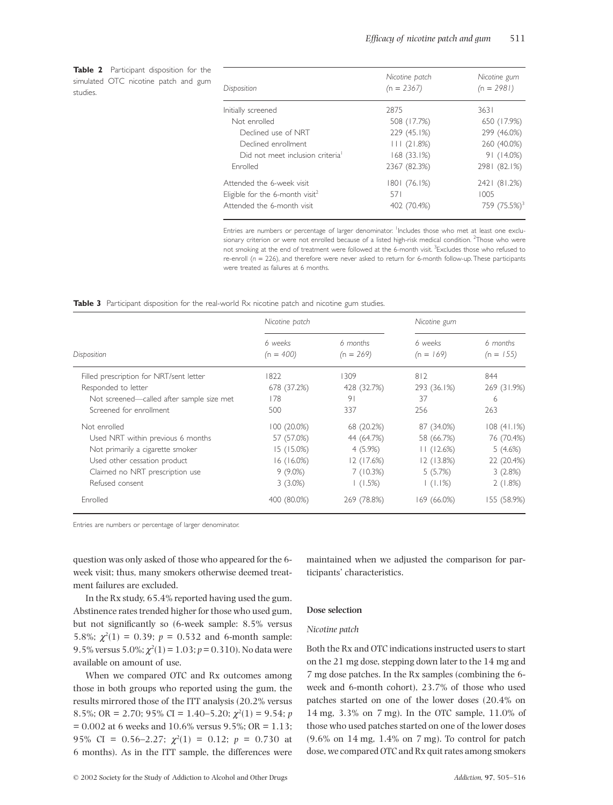**Table 2** Participant disposition for the simulated OTC nicotine patch and gum studies.

| Disposition                                 | Nicotine patch<br>$(n = 2367)$ | Nicotine gum<br>$(n = 2981)$ |
|---------------------------------------------|--------------------------------|------------------------------|
| Initially screened                          | 2875                           | 3631                         |
| Not enrolled                                | 508 (17.7%)                    | 650 (17.9%)                  |
| Declined use of NRT                         | 229 (45.1%)                    | 299 (46.0%)                  |
| Declined enrollment                         | 111(21.8%)                     | 260 (40.0%)                  |
| Did not meet inclusion criteria             | 168 (33.1%)                    | 91(14.0%)                    |
| <b>F</b> nrolled                            | 2367 (82.3%)                   | 2981 (82.1%)                 |
| Attended the 6-week visit                   | 1801 (76.1%)                   | 2421 (81.2%)                 |
| Eligible for the 6-month visit <sup>2</sup> | 571                            | 1005                         |
| Attended the 6-month visit                  | 402 (70.4%)                    | 759 (75.5%) <sup>3</sup>     |

Entries are numbers or percentage of larger denominator. <sup>I</sup>Includes those who met at least one exclusionary criterion or were not enrolled because of a listed high-risk medical condition. <sup>2</sup>Those who were not smoking at the end of treatment were followed at the 6-month visit. <sup>3</sup>Excludes those who refused to re-enroll (*n* = 226), and therefore were never asked to return for 6-month follow-up. These participants were treated as failures at 6 months.

**Table 3** Participant disposition for the real-world Rx nicotine patch and nicotine gum studies.

|                                           | Nicotine patch         |                         | Nicotine gum            |                         |
|-------------------------------------------|------------------------|-------------------------|-------------------------|-------------------------|
| Disposition                               | 6 weeks<br>$(n = 400)$ | 6 months<br>$(n = 269)$ | 6 weeks<br>$(n = 169)$  | 6 months<br>$(n = 155)$ |
| Filled prescription for NRT/sent letter   | 1822                   | 1309                    | 812                     | 844                     |
| Responded to letter                       | 678 (37.2%)            | 428 (32.7%)             | 293 (36.1%)             | 269 (31.9%)             |
| Not screened—called after sample size met | 178                    | 9 <sub>1</sub>          | 37                      | 6                       |
| Screened for enrollment                   | 500                    | 337                     | 256                     | 263                     |
| Not enrolled                              | 100(20.0%)             | 68 (20.2%)              | 87 (34.0%)              | 108(41.1%)              |
| Used NRT within previous 6 months         | 57 (57.0%)             | 44 (64.7%)              | 58 (66.7%)              | 76 (70.4%)              |
| Not primarily a cigarette smoker          | 15(15.0%)              | 4(5.9%)                 | 11(12.6%)               | 5(4.6%)                 |
| Used other cessation product              | 16(16.0%)              | 12(17.6%)               | 12(13.8%)               | 22 (20.4%)              |
| Claimed no NRT prescription use           | $9(9.0\%)$             | 7(10.3%)                | 5(5.7%)                 | 3(2.8%)                 |
| Refused consent                           | 3(3.0%)                | (1.5%)                  | $\left  \right $ (1.1%) | 2(1.8%)                 |
| Enrolled                                  | 400 (80.0%)            | 269 (78.8%)             | 169 (66.0%)             | 155 (58.9%)             |

Entries are numbers or percentage of larger denominator.

question was only asked of those who appeared for the 6 week visit; thus, many smokers otherwise deemed treatment failures are excluded.

In the Rx study, 65.4% reported having used the gum. Abstinence rates trended higher for those who used gum, but not significantly so (6-week sample: 8.5% versus 5.8%;  $\chi^2(1) = 0.39$ ;  $p = 0.532$  and 6-month sample: 9.5% versus 5.0%;  $\chi^2(1) = 1.03$ ;  $p = 0.310$ ). No data were available on amount of use.

When we compared OTC and Rx outcomes among those in both groups who reported using the gum, the results mirrored those of the ITT analysis (20.2% versus 8.5%; OR = 2.70; 95% CI = 1.40–5.20;  $\chi^2(1) = 9.54$ ; *p*  $= 0.002$  at 6 weeks and 10.6% versus 9.5%; OR = 1.13; 95% CI =  $0.56-2.27$ ;  $\chi^2(1) = 0.12$ ;  $p = 0.730$  at 6 months). As in the ITT sample, the differences were

© 2002 Society for the Study of Addiction to Alcohol and Other Drugs *Addiction,* **97**, 505–516

maintained when we adjusted the comparison for participants' characteristics.

## **Dose selection**

#### *Nicotine patch*

Both the Rx and OTC indications instructed users to start on the 21 mg dose, stepping down later to the 14 mg and 7 mg dose patches. In the Rx samples (combining the 6 week and 6-month cohort), 23.7% of those who used patches started on one of the lower doses (20.4% on 14 mg, 3.3% on 7 mg). In the OTC sample, 11.0% of those who used patches started on one of the lower doses (9.6% on 14 mg, 1.4% on 7 mg). To control for patch dose, we compared OTC and Rx quit rates among smokers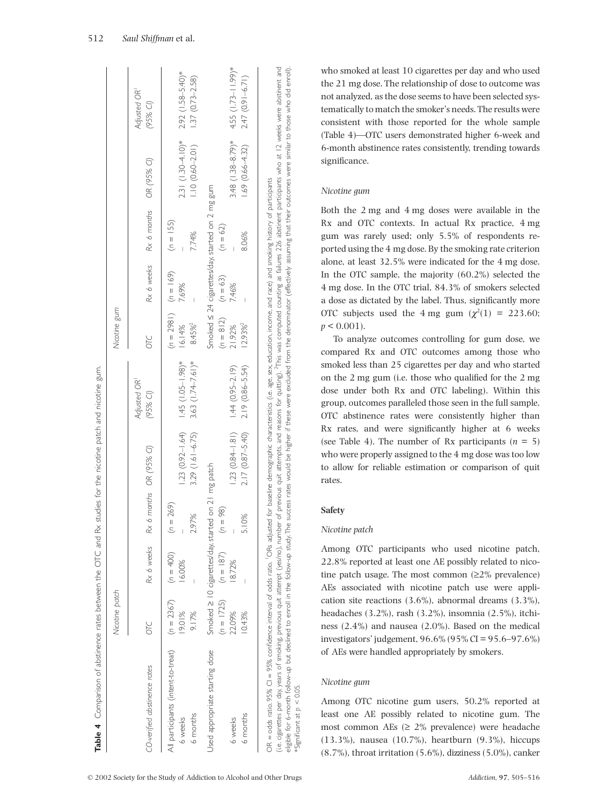|                                                                                                                                                                                                                                                                                                                                                                                                                                                                                                                                                                                                                                                                              | Nicotine patch  |                                                                                |                                                  |                                             |                                              | Nicotine gum                                |            |                                                               |                                           |                                                               |
|------------------------------------------------------------------------------------------------------------------------------------------------------------------------------------------------------------------------------------------------------------------------------------------------------------------------------------------------------------------------------------------------------------------------------------------------------------------------------------------------------------------------------------------------------------------------------------------------------------------------------------------------------------------------------|-----------------|--------------------------------------------------------------------------------|--------------------------------------------------|---------------------------------------------|----------------------------------------------|---------------------------------------------|------------|---------------------------------------------------------------|-------------------------------------------|---------------------------------------------------------------|
| CO-verified abstinence rates                                                                                                                                                                                                                                                                                                                                                                                                                                                                                                                                                                                                                                                 | 210             | Rx 6 weeks                                                                     |                                                  | Rx 6 months OR (95% CI)                     | Adjusted OR<br>$(95%$ CI)                    | <b>DIC</b>                                  | Rx 6 weeks |                                                               | Rx 6 months OR (95% CI)                   | Adjusted OR<br>$(95%$ CI)                                     |
| All participants (intent-to-treat) (n = 2367) (n = 400)<br>6 months<br>6 weeks                                                                                                                                                                                                                                                                                                                                                                                                                                                                                                                                                                                               | 9.17%<br>19.01% | 16.00%                                                                         | $= 269$<br>2.97%<br>$\epsilon$<br>$\overline{1}$ | $1.23(0.92 - 1.64)$<br>3.29 $(1.61 - 6.75)$ | $1.45$ (1.05-1.98)*<br>3.63 $(1.74 - 7.61)*$ | $(n = 2981)$ $(n = 169)$<br>8.45%<br>16.14% | 7.69%      | $(n = 155)$<br>7.74%                                          | $2.31(1.30-4.10)*$<br>$1.10(0.60 - 2.01)$ | $2.92$ (1.58-5.40)*<br>$1.37(0.73 - 2.58)$                    |
| Used appropriate starting dose                                                                                                                                                                                                                                                                                                                                                                                                                                                                                                                                                                                                                                               |                 | Smoked ≥ 10 cigarettes/day, started on 21 mg patch<br>$(n = 1725)$ $(n = 187)$ | $(n = 98)$                                       |                                             |                                              | $(n = 812)$ $(n = 63)$                      |            | Smoked < 24 cigarettes/day, started on 2 mg gum<br>$(n = 62)$ |                                           |                                                               |
| 6 months<br>6 weeks                                                                                                                                                                                                                                                                                                                                                                                                                                                                                                                                                                                                                                                          | 22.09%<br>0.43% | 18.72%                                                                         | 10%<br>$\overline{1}$<br>ட்                      | $1.23(0.84 - 1.81)$<br>$2.17(0.87 - 5.40)$  | $2.19(0.86 - 5.54)$<br>$1.44(0.95-2.19)$     | 2.93%<br>21.92%                             | 7.46%      | 8.06%                                                         | $1.69(0.66 - 4.32)$                       | $3.48$ (1.38-8.79)* 4.55 (1.73-11.99)*<br>$2.47(0.91 - 6.71)$ |
| (i.e. cigarettes per day, years of smoking, previous quit attempt (yes/no), number of previous quit attempts, and reasons for quitting). This was computed counting as failures 226 abstinent participants who at 12 weeks wer<br>eligible for 6-month follow-up but declined to enroll in the follow-up study. The success rates would be higher if these were excluded from the denominator (effectively assuming that their outcomes were similar to those wh<br>OR = odds ratio. 95% CI = 95% confidence interval of odds ratio. 'ORs adjusted for baseline demographic characteristics (i.e. age, sex, education, income, and race) and smoking history of participants |                 |                                                                                |                                                  |                                             |                                              |                                             |            |                                                               |                                           |                                                               |

who smoked at least 10 cigarettes per day and who used the 21 mg dose. The relationship of dose to outcome was not analyzed, as the dose seems to have been selected systematically to match the smoker's needs. The results were consistent with those reported for the whole sample (Table 4)—OTC users demonstrated higher 6-week and 6-month abstinence rates consistently, trending towards significance.

#### *Nicotine gum*

Both the 2 mg and 4 mg doses were available in the Rx and OTC contexts. In actual Rx practice, 4 mg gum was rarely used; only 5.5% of respondents reported using the 4 mg dose. By the smoking rate criterion alone, at least 32.5% were indicated for the 4 mg dose. In the OTC sample, the majority (60.2%) selected the 4 mg dose. In the OTC trial, 84.3% of smokers selected a dose as dictated by the label. Thus, significantly more OTC subjects used the 4 mg gum  $(\chi^2(1) = 223.60)$ ;  $p < 0.001$ ).

To analyze outcomes controlling for gum dose, we compared Rx and OTC outcomes among those who smoked less than 25 cigarettes per day and who started on the 2 mg gum (i.e. those who qualified for the 2 mg dose under both Rx and OTC labeling). Within this group, outcomes paralleled those seen in the full sample. OTC abstinence rates were consistently higher than Rx rates, and were significantly higher at 6 weeks (see Table 4). The number of Rx participants  $(n = 5)$ ) who were properly assigned to the 4 mg dose was too low to allow for reliable estimation or comparison of quit rates.

#### **Safety**

were excluded from the denominator (effectively assuming that their outcomes were similar to those

#### *Nicotine patch*

Among OTC participants who used nicotine patch, 22.8% reported at least one AE possibly related to nicotine patch usage. The most common  $(\geq 2\%$  prevalence) AEs associated with nicotine patch use were application site reactions (3.6%), abnormal dreams (3.3%), headaches (3.2%), rash (3.2%), insomnia (2.5%), itchiness (2.4%) and nausea (2.0%). Based on the medical investigators' judgement, 96.6% (95% CI = 95.6–97.6%) of AEs were handled appropriately by smokers.

#### *Nicotine gum*

\*Significant at *p* < 0.05.

gnificant at  $p < 0.05$ 

Among OTC nicotine gum users, 50.2% reported at least one AE possibly related to nicotine gum. The most common AEs  $(≥ 2\%$  prevalence) were headache (13.3%), nausea (10.7%), heartburn (9.3%), hiccups (8.7%), throat irritation (5.6%), dizziness (5.0%), canker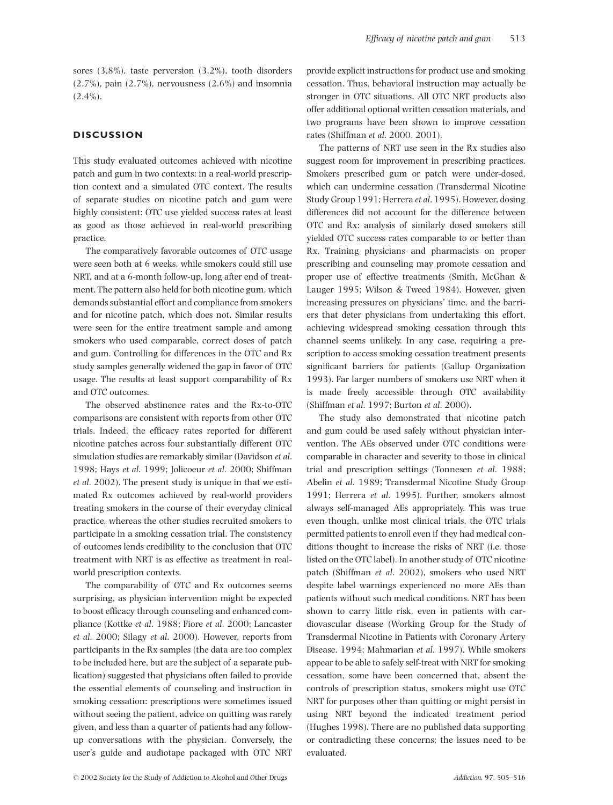sores (3.8%), taste perversion (3.2%), tooth disorders  $(2.7\%)$ , pain  $(2.7\%)$ , nervousness  $(2.6\%)$  and insomnia  $(2.4\%).$ 

## **DISCUSSION**

This study evaluated outcomes achieved with nicotine patch and gum in two contexts: in a real-world prescription context and a simulated OTC context. The results of separate studies on nicotine patch and gum were highly consistent: OTC use yielded success rates at least as good as those achieved in real-world prescribing practice.

The comparatively favorable outcomes of OTC usage were seen both at 6 weeks, while smokers could still use NRT, and at a 6-month follow-up, long after end of treatment. The pattern also held for both nicotine gum, which demands substantial effort and compliance from smokers and for nicotine patch, which does not. Similar results were seen for the entire treatment sample and among smokers who used comparable, correct doses of patch and gum. Controlling for differences in the OTC and Rx study samples generally widened the gap in favor of OTC usage. The results at least support comparability of Rx and OTC outcomes.

The observed abstinence rates and the Rx-to-OTC comparisons are consistent with reports from other OTC trials. Indeed, the efficacy rates reported for different nicotine patches across four substantially different OTC simulation studies are remarkably similar (Davidson *et al*. 1998; Hays *et al*. 1999; Jolicoeur *et al*. 2000; Shiffman *et al*. 2002). The present study is unique in that we estimated Rx outcomes achieved by real-world providers treating smokers in the course of their everyday clinical practice, whereas the other studies recruited smokers to participate in a smoking cessation trial. The consistency of outcomes lends credibility to the conclusion that OTC treatment with NRT is as effective as treatment in realworld prescription contexts.

The comparability of OTC and Rx outcomes seems surprising, as physician intervention might be expected to boost efficacy through counseling and enhanced compliance (Kottke *et al*. 1988; Fiore *et al*. 2000; Lancaster *et al*. 2000; Silagy *et al*. 2000). However, reports from participants in the Rx samples (the data are too complex to be included here, but are the subject of a separate publication) suggested that physicians often failed to provide the essential elements of counseling and instruction in smoking cessation: prescriptions were sometimes issued without seeing the patient, advice on quitting was rarely given, and less than a quarter of patients had any followup conversations with the physician. Conversely, the user's guide and audiotape packaged with OTC NRT provide explicit instructions for product use and smoking cessation. Thus, behavioral instruction may actually be stronger in OTC situations. All OTC NRT products also offer additional optional written cessation materials, and two programs have been shown to improve cessation rates (Shiffman *et al*. 2000, 2001).

The patterns of NRT use seen in the Rx studies also suggest room for improvement in prescribing practices. Smokers prescribed gum or patch were under-dosed, which can undermine cessation (Transdermal Nicotine Study Group 1991; Herrera *et al*. 1995). However, dosing differences did not account for the difference between OTC and Rx: analysis of similarly dosed smokers still yielded OTC success rates comparable to or better than Rx. Training physicians and pharmacists on proper prescribing and counseling may promote cessation and proper use of effective treatments (Smith, McGhan & Lauger 1995; Wilson & Tweed 1984). However, given increasing pressures on physicians' time, and the barriers that deter physicians from undertaking this effort, achieving widespread smoking cessation through this channel seems unlikely. In any case, requiring a prescription to access smoking cessation treatment presents significant barriers for patients (Gallup Organization 1993). Far larger numbers of smokers use NRT when it is made freely accessible through OTC availability (Shiffman *et al*. 1997; Burton *et al*. 2000).

The study also demonstrated that nicotine patch and gum could be used safely without physician intervention. The AEs observed under OTC conditions were comparable in character and severity to those in clinical trial and prescription settings (Tonnesen *et al*. 1988; Abelin *et al*. 1989; Transdermal Nicotine Study Group 1991; Herrera *et al*. 1995). Further, smokers almost always self-managed AEs appropriately. This was true even though, unlike most clinical trials, the OTC trials permitted patients to enroll even if they had medical conditions thought to increase the risks of NRT (i.e. those listed on the OTC label). In another study of OTC nicotine patch (Shiffman *et al*. 2002), smokers who used NRT despite label warnings experienced no more AEs than patients without such medical conditions. NRT has been shown to carry little risk, even in patients with cardiovascular disease (Working Group for the Study of Transdermal Nicotine in Patients with Coronary Artery Disease. 1994; Mahmarian *et al*. 1997). While smokers appear to be able to safely self-treat with NRT for smoking cessation, some have been concerned that, absent the controls of prescription status, smokers might use OTC NRT for purposes other than quitting or might persist in using NRT beyond the indicated treatment period (Hughes 1998). There are no published data supporting or contradicting these concerns; the issues need to be evaluated.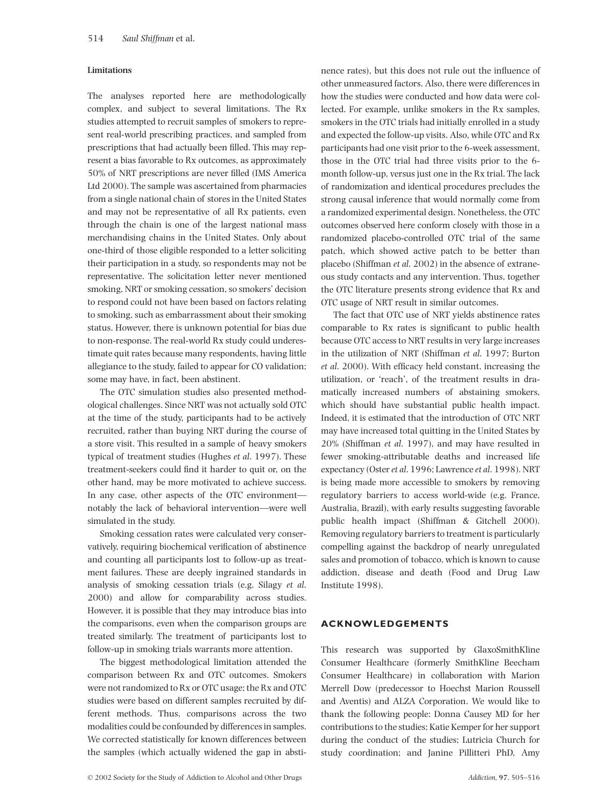#### **Limitations**

The analyses reported here are methodologically complex, and subject to several limitations. The Rx studies attempted to recruit samples of smokers to represent real-world prescribing practices, and sampled from prescriptions that had actually been filled. This may represent a bias favorable to Rx outcomes, as approximately 50% of NRT prescriptions are never filled (IMS America Ltd 2000). The sample was ascertained from pharmacies from a single national chain of stores in the United States and may not be representative of all Rx patients, even through the chain is one of the largest national mass merchandising chains in the United States. Only about one-third of those eligible responded to a letter soliciting their participation in a study, so respondents may not be representative. The solicitation letter never mentioned smoking, NRT or smoking cessation, so smokers' decision to respond could not have been based on factors relating to smoking, such as embarrassment about their smoking status. However, there is unknown potential for bias due to non-response. The real-world Rx study could underestimate quit rates because many respondents, having little allegiance to the study, failed to appear for CO validation; some may have, in fact, been abstinent.

The OTC simulation studies also presented methodological challenges. Since NRT was not actually sold OTC at the time of the study, participants had to be actively recruited, rather than buying NRT during the course of a store visit. This resulted in a sample of heavy smokers typical of treatment studies (Hughes *et al*. 1997). These treatment-seekers could find it harder to quit or, on the other hand, may be more motivated to achieve success. In any case, other aspects of the OTC environment notably the lack of behavioral intervention—were well simulated in the study.

Smoking cessation rates were calculated very conservatively, requiring biochemical verification of abstinence and counting all participants lost to follow-up as treatment failures. These are deeply ingrained standards in analysis of smoking cessation trials (e.g. Silagy *et al*. 2000) and allow for comparability across studies. However, it is possible that they may introduce bias into the comparisons, even when the comparison groups are treated similarly. The treatment of participants lost to follow-up in smoking trials warrants more attention.

The biggest methodological limitation attended the comparison between Rx and OTC outcomes. Smokers were not randomized to Rx or OTC usage; the Rx and OTC studies were based on different samples recruited by different methods. Thus, comparisons across the two modalities could be confounded by differences in samples. We corrected statistically for known differences between the samples (which actually widened the gap in abstinence rates), but this does not rule out the influence of other unmeasured factors. Also, there were differences in how the studies were conducted and how data were collected. For example, unlike smokers in the Rx samples, smokers in the OTC trials had initially enrolled in a study and expected the follow-up visits. Also, while OTC and Rx participants had one visit prior to the 6-week assessment, those in the OTC trial had three visits prior to the 6 month follow-up, versus just one in the Rx trial. The lack of randomization and identical procedures precludes the strong causal inference that would normally come from a randomized experimental design. Nonetheless, the OTC outcomes observed here conform closely with those in a randomized placebo-controlled OTC trial of the same patch, which showed active patch to be better than placebo (Shiffman *et al*. 2002) in the absence of extraneous study contacts and any intervention. Thus, together the OTC literature presents strong evidence that Rx and OTC usage of NRT result in similar outcomes.

The fact that OTC use of NRT yields abstinence rates comparable to Rx rates is significant to public health because OTC access to NRT results in very large increases in the utilization of NRT (Shiffman *et al*. 1997; Burton *et al*. 2000). With efficacy held constant, increasing the utilization, or 'reach', of the treatment results in dramatically increased numbers of abstaining smokers, which should have substantial public health impact. Indeed, it is estimated that the introduction of OTC NRT may have increased total quitting in the United States by 20% (Shiffman *et al*. 1997), and may have resulted in fewer smoking-attributable deaths and increased life expectancy (Oster *et al*. 1996; Lawrence *et al*. 1998). NRT is being made more accessible to smokers by removing regulatory barriers to access world-wide (e.g. France, Australia, Brazil), with early results suggesting favorable public health impact (Shiffman & Gitchell 2000). Removing regulatory barriers to treatment is particularly compelling against the backdrop of nearly unregulated sales and promotion of tobacco, which is known to cause addiction, disease and death (Food and Drug Law Institute 1998).

#### **ACKNOWLEDGEMENTS**

This research was supported by GlaxoSmithKline Consumer Healthcare (formerly SmithKline Beecham Consumer Healthcare) in collaboration with Marion Merrell Dow (predecessor to Hoechst Marion Roussell and Aventis) and ALZA Corporation. We would like to thank the following people: Donna Causey MD for her contributions to the studies; Katie Kemper for her support during the conduct of the studies; Lutricia Church for study coordination; and Janine Pillitteri PhD, Amy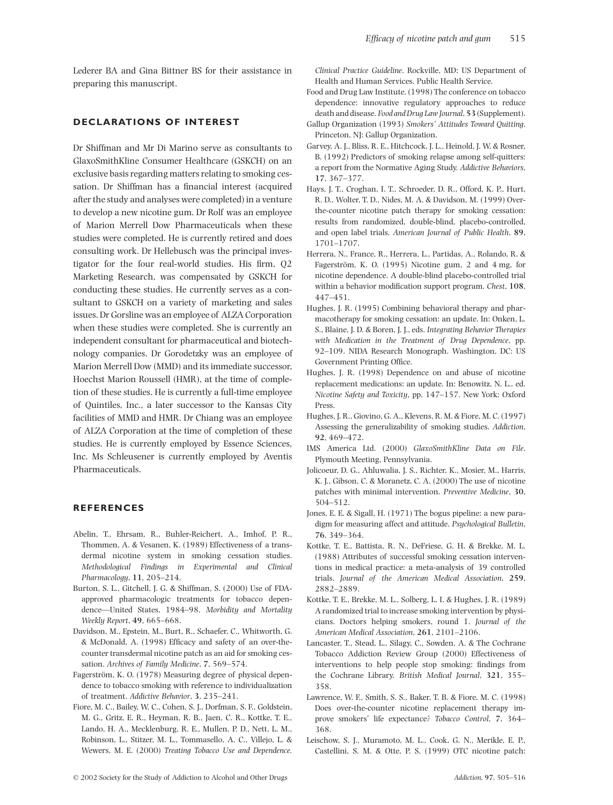Lederer BA and Gina Bittner BS for their assistance in preparing this manuscript.

## **DECLARATIONS OF INTEREST**

Dr Shiffman and Mr Di Marino serve as consultants to GlaxoSmithKline Consumer Healthcare (GSKCH) on an exclusive basis regarding matters relating to smoking cessation. Dr Shiffman has a financial interest (acquired after the study and analyses were completed) in a venture to develop a new nicotine gum. Dr Rolf was an employee of Marion Merrell Dow Pharmaceuticals when these studies were completed. He is currently retired and does consulting work. Dr Hellebusch was the principal investigator for the four real-world studies. His firm, Q2 Marketing Research, was compensated by GSKCH for conducting these studies. He currently serves as a consultant to GSKCH on a variety of marketing and sales issues. Dr Gorsline was an employee of ALZA Corporation when these studies were completed. She is currently an independent consultant for pharmaceutical and biotechnology companies. Dr Gorodetzky was an employee of Marion Merrell Dow (MMD) and its immediate successor, Hoechst Marion Roussell (HMR), at the time of completion of these studies. He is currently a full-time employee of Quintiles, Inc., a later successor to the Kansas City facilities of MMD and HMR. Dr Chiang was an employee of ALZA Corporation at the time of completion of these studies. He is currently employed by Essence Sciences, Inc. Ms Schleusener is currently employed by Aventis Pharmaceuticals.

## **REFERENCES**

- Abelin, T., Ehrsam, R., Buhler-Reichert, A., Imhof, P. R., Thommen, A. & Vesanen, K. (1989) Effectiveness of a transdermal nicotine system in smoking cessation studies. *Methodological Findings in Experimental and Clinical Pharmacology*, **11**, 205–214.
- Burton, S. L., Gitchell, J. G. & Shiffman, S. (2000) Use of FDAapproved pharmacologic treatments for tobacco dependence—United States, 1984–98. *Morbidity and Mortality Weekly Report*, **49**, 665–668.
- Davidson, M., Epstein, M., Burt, R., Schaefer, C., Whitworth, G. & McDonald, A. (1998) Efficacy and safety of an over-thecounter transdermal nicotine patch as an aid for smoking cessation. *Archives of Family Medicine*, **7**, 569–574.
- Fagerström, K. O. (1978) Measuring degree of physical dependence to tobacco smoking with reference to individualization of treatment. *Addictive Behavior*, **3**, 235–241.
- Fiore, M. C., Bailey, W. C., Cohen, S. J., Dorfman, S. F., Goldstein, M. G., Gritz, E. R., Heyman, R. B., Jaen, C. R., Kottke, T. E., Lando, H. A., Mecklenburg, R. E., Mullen, P. D., Nett, L. M., Robinson, L., Stitzer, M. L., Tommasello, A. C., Villejo, L. & Wewers, M. E. (2000) *Treating Tobacco Use and Dependence.*

*Clinical Practice Guideline*. Rockville, MD: US Department of Health and Human Services, Public Health Service.

- Food and Drug Law Institute. (1998) The conference on tobacco dependence: innovative regulatory approaches to reduce death and disease. *Food and Drug Law Journal*, **53** (Supplement).
- Gallup Organization (1993) *Smokers' Attitudes Toward Quitting*. Princeton, NJ: Gallup Organization.
- Garvey, A. J., Bliss, R. E., Hitchcock, J. L., Heinold, J. W. & Rosner, B. (1992) Predictors of smoking relapse among self-quitters: a report from the Normative Aging Study. *Addictive Behaviors*, **17**, 367–377.
- Hays, J. T., Croghan, I. T., Schroeder, D. R., Offord, K. P., Hurt, R. D., Wolter, T. D., Nides, M. A. & Davidson, M. (1999) Overthe-counter nicotine patch therapy for smoking cessation: results from randomized, double-blind, placebo-controlled, and open label trials. *American Journal of Public Health*, **89**, 1701–1707.
- Herrera, N., France, R., Herrera, L., Partidas, A., Rolando, R. & Fagerström, K. O. (1995) Nicotine gum, 2 and 4 mg, for nicotine dependence. A double-blind placebo-controlled trial within a behavior modification support program. *Chest*, **108**, 447–451.
- Hughes, J. R. (1995) Combining behavioral therapy and pharmacotherapy for smoking cessation: an update. In: Onken, L. S., Blaine, J. D. & Boren, J. J., eds. *Integrating Behavior Therapies with Medication in the Treatment of Drug Dependence*, pp. 92–109. NIDA Research Monograph. Washington, DC: US Government Printing Office.
- Hughes, J. R. (1998) Dependence on and abuse of nicotine replacement medications: an update. In: Benowitz, N. L., ed. *Nicotine Safety and Toxicity*, pp. 147–157. New York: Oxford Press.
- Hughes, J. R., Giovino, G. A., Klevens, R. M. & Fiore, M. C. (1997) Assessing the generalizability of smoking studies. *Addiction*, **92**, 469–472.
- IMS America Ltd. (2000) *GlaxoSmithKline Data on File*. Plymouth Meeting, Pennsylvania.
- Jolicoeur, D. G., Ahluwalia, J. S., Richter, K., Mosier, M., Harris, K. J., Gibson, C. & Moranetz, C. A. (2000) The use of nicotine patches with minimal intervention. *Preventive Medicine*, **30**, 504–512.
- Jones, E. E. & Sigall, H. (1971) The bogus pipeline: a new paradigm for measuring affect and attitude. *Psychological Bulletin*, **76**, 349–364.
- Kottke, T. E., Battista, R. N., DeFriese, G. H. & Brekke, M. L. (1988) Attributes of successful smoking cessation interventions in medical practice: a meta-analysis of 39 controlled trials. *Journal of the American Medical Association*, **259**, 2882–2889.
- Kottke, T. E., Brekke, M. L., Solberg, L. I. & Hughes, J. R. (1989) A randomized trial to increase smoking intervention by physicians. Doctors helping smokers, round 1. *Journal of the American Medical Association*, **261**, 2101–2106.
- Lancaster, T., Stead, L., Silagy, C., Sowden, A. & The Cochrane Tobacco Addiction Review Group (2000) Effectiveness of interventions to help people stop smoking: findings from the Cochrane Library. *British Medical Journal*, **321**, 355– 358.
- Lawrence, W. F., Smith, S. S., Baker, T. B. & Fiore, M. C. (1998) Does over-the-counter nicotine replacement therapy improve smokers' life expectance? *Tobacco Control*, **7**, 364– 368.
- Leischow, S. J., Muramoto, M. L., Cook, G. N., Merikle, E. P., Castellini, S. M. & Otte, P. S. (1999) OTC nicotine patch: